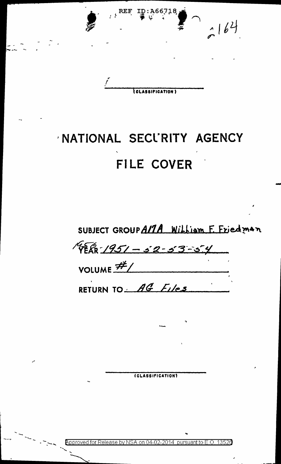

## NATIONAL SECURITY AGENCY FILE COVER

SUBJECT GROUP ALTA William F. Eriedman

4 FER 1951 - 52-53-54 VOLUME  $#$ /

RETURN TO AG Files

(CLASSIFICATION)

on 04-02-2014 pursuant to E.O. 13526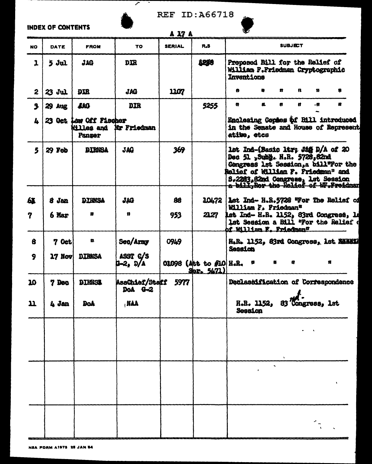## **INDEX OF CONTENTS**

Ξ



Z

## REF ID: A66718



|              | INPLA VI   WAN I LIVI 4 |                                                       |                                        | A 27 A        |                                        | v                                                                                                                                                                                                                               |
|--------------|-------------------------|-------------------------------------------------------|----------------------------------------|---------------|----------------------------------------|---------------------------------------------------------------------------------------------------------------------------------------------------------------------------------------------------------------------------------|
| <b>NO</b>    | DATE                    | <b>FROM</b>                                           | TO                                     | <b>SERIAL</b> | R.S                                    | <b>SUBJECT</b>                                                                                                                                                                                                                  |
| $\mathbf{1}$ | $5 \,$ Jul              | <b>JAG</b>                                            | <b>DIR</b>                             |               | 4250                                   | Proposed Bill for the Relief of<br>William F.Friedman Cryptographic<br><b>Lnventions</b>                                                                                                                                        |
| $\mathbf{2}$ | 23 Jul                  | <b>DIR</b>                                            | <b>JAG</b>                             | 1107          |                                        | $\mathbf{n}$<br>U.<br>$\mathbf{r}$<br>$\mathbf{B}$<br>n<br>8                                                                                                                                                                    |
| 3            | <b>29 Aug</b>           | 440                                                   | <b>DIR</b>                             |               | 5255                                   | и.<br>a.<br>u.<br>ű.<br>-11                                                                                                                                                                                                     |
| 4            |                         | 23 Oct Law Off Fischer<br><b>Nilles</b> and<br>Panzer | Mr Friedman                            |               |                                        | Enclosing Copies of Bill introduced<br>in the Senate and House of Represent<br>ative, etcs                                                                                                                                      |
| 5            | 29 Feb                  | <b>DIRNSA</b>                                         | <b>JAG</b>                             | 369           |                                        | lst Ind-(Basic ltr; Jig D/A of 20<br>Dec 51 , Subh. H.R. 5728, 82nd<br>Congress lst Session, a bill"For the<br>Relief of William F. Priedman" and<br>S.2283,82nd Congress, Lat Session<br>a bill, Ror the Relief of W. Preidman |
| 65           | 8 Jan                   | <b>DIRNSA</b>                                         | JAG                                    | 88            | <b>10472</b>                           | Let Ind- H.R.5728 "For The Relief of<br>William F. Friedman*                                                                                                                                                                    |
| 7            | 6 Mar                   | n                                                     | n                                      | 953           | 21.27                                  | lst Ind- H.R. 1152, 83rd Congress, 14<br>1st Session a Bill "For the Relief of<br>of William F. Friedman <sup>n</sup>                                                                                                           |
| 8            | $70$ et                 | n.                                                    | Seo/Army                               | 0949          |                                        | H.R. 1152, 83rd Congress, 1st. 20011<br>Session                                                                                                                                                                                 |
| 9            | $17$ Nov                | <b>DIRNSA</b>                                         | ASST C/S<br>$-2, D/A$                  |               | 01098 (Att to #10 H.R. "<br>Ser. 5471) | n<br>n<br>n                                                                                                                                                                                                                     |
| 10           | 7 Dec                   | <b>BIENSS</b>                                         | <b>AssChief/Staff 5977</b><br>DoA $-3$ |               |                                        | Declassification of Correspondence                                                                                                                                                                                              |
| n            | $4 \; \text{Jan}$       | <b>DoA</b>                                            | AAN,                                   |               |                                        | M<br>H.R. 1152, 83 Congress, 1st<br>Secsion                                                                                                                                                                                     |
|              |                         |                                                       |                                        |               |                                        |                                                                                                                                                                                                                                 |
|              |                         |                                                       |                                        |               |                                        |                                                                                                                                                                                                                                 |
|              |                         |                                                       |                                        |               |                                        | $\mathbf{r}_i$                                                                                                                                                                                                                  |
|              |                         |                                                       |                                        |               |                                        |                                                                                                                                                                                                                                 |
|              |                         |                                                       |                                        |               |                                        |                                                                                                                                                                                                                                 |
|              |                         |                                                       |                                        |               |                                        |                                                                                                                                                                                                                                 |